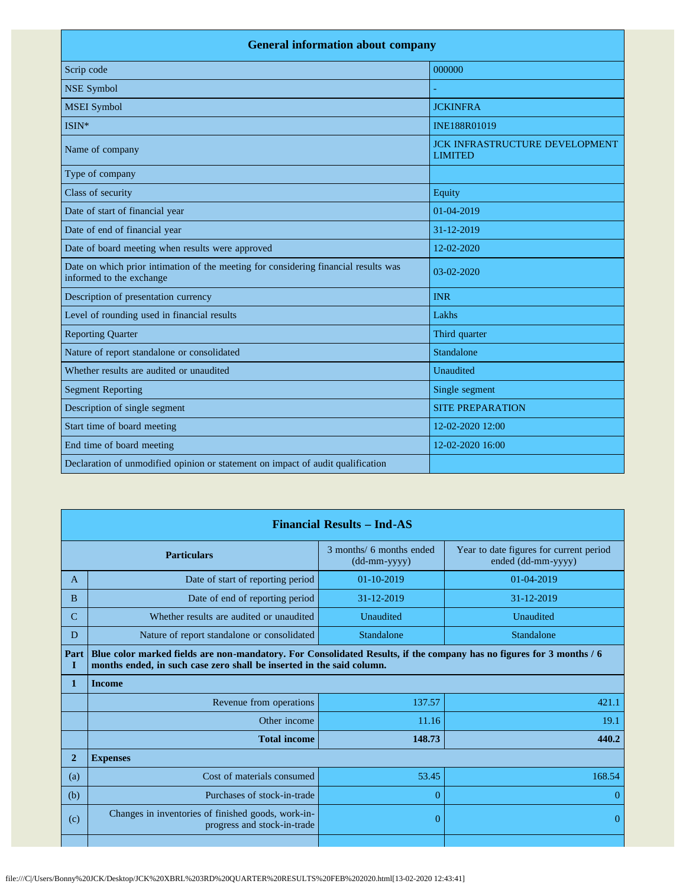| <b>General information about company</b>                                                                        |                                                         |  |  |
|-----------------------------------------------------------------------------------------------------------------|---------------------------------------------------------|--|--|
| Scrip code                                                                                                      | 000000                                                  |  |  |
| <b>NSE Symbol</b>                                                                                               |                                                         |  |  |
| <b>MSEI</b> Symbol                                                                                              | <b>JCKINFRA</b>                                         |  |  |
| ISIN*                                                                                                           | INE188R01019                                            |  |  |
| Name of company                                                                                                 | <b>JCK INFRASTRUCTURE DEVELOPMENT</b><br><b>LIMITED</b> |  |  |
| Type of company                                                                                                 |                                                         |  |  |
| Class of security                                                                                               | Equity                                                  |  |  |
| Date of start of financial year                                                                                 | $01-04-2019$                                            |  |  |
| Date of end of financial year                                                                                   | 31-12-2019                                              |  |  |
| Date of board meeting when results were approved                                                                | 12-02-2020                                              |  |  |
| Date on which prior intimation of the meeting for considering financial results was<br>informed to the exchange | $03-02-2020$                                            |  |  |
| Description of presentation currency                                                                            | <b>INR</b>                                              |  |  |
| Level of rounding used in financial results                                                                     | Lakhs                                                   |  |  |
| <b>Reporting Quarter</b>                                                                                        | Third quarter                                           |  |  |
| Nature of report standalone or consolidated                                                                     | Standalone                                              |  |  |
| Whether results are audited or unaudited                                                                        | Unaudited                                               |  |  |
| <b>Segment Reporting</b>                                                                                        | Single segment                                          |  |  |
| Description of single segment                                                                                   | <b>SITE PREPARATION</b>                                 |  |  |
| Start time of board meeting                                                                                     | 12-02-2020 12:00                                        |  |  |
| End time of board meeting                                                                                       | 12-02-2020 16:00                                        |  |  |
| Declaration of unmodified opinion or statement on impact of audit qualification                                 |                                                         |  |  |

| <b>Financial Results - Ind-AS</b> |                                                                                                                                                                                               |                                          |                                                               |
|-----------------------------------|-----------------------------------------------------------------------------------------------------------------------------------------------------------------------------------------------|------------------------------------------|---------------------------------------------------------------|
| <b>Particulars</b>                |                                                                                                                                                                                               | 3 months/ 6 months ended<br>(dd-mm-yyyy) | Year to date figures for current period<br>ended (dd-mm-yyyy) |
| A                                 | Date of start of reporting period                                                                                                                                                             | $01 - 10 - 2019$                         | 01-04-2019                                                    |
| B                                 | Date of end of reporting period                                                                                                                                                               | 31-12-2019                               | 31-12-2019                                                    |
| $\mathcal{C}$                     | Whether results are audited or unaudited                                                                                                                                                      | Unaudited                                | Unaudited                                                     |
| D                                 | Nature of report standalone or consolidated                                                                                                                                                   | Standalone                               | Standalone                                                    |
| Part<br>I                         | Blue color marked fields are non-mandatory. For Consolidated Results, if the company has no figures for 3 months / 6<br>months ended, in such case zero shall be inserted in the said column. |                                          |                                                               |
| 1                                 | <b>Income</b>                                                                                                                                                                                 |                                          |                                                               |
|                                   | Revenue from operations                                                                                                                                                                       | 137.57                                   | 421.1                                                         |
|                                   | Other income                                                                                                                                                                                  | 11.16                                    | 19.1                                                          |
|                                   | <b>Total income</b>                                                                                                                                                                           | 148.73                                   | 440.2                                                         |
| $\overline{2}$                    | <b>Expenses</b>                                                                                                                                                                               |                                          |                                                               |
| (a)                               | Cost of materials consumed                                                                                                                                                                    | 53.45                                    | 168.54                                                        |
| (b)                               | Purchases of stock-in-trade                                                                                                                                                                   | 0                                        | 0                                                             |
| (c)                               | Changes in inventories of finished goods, work-in-<br>progress and stock-in-trade                                                                                                             | $\Omega$                                 | $\Omega$                                                      |
|                                   |                                                                                                                                                                                               |                                          |                                                               |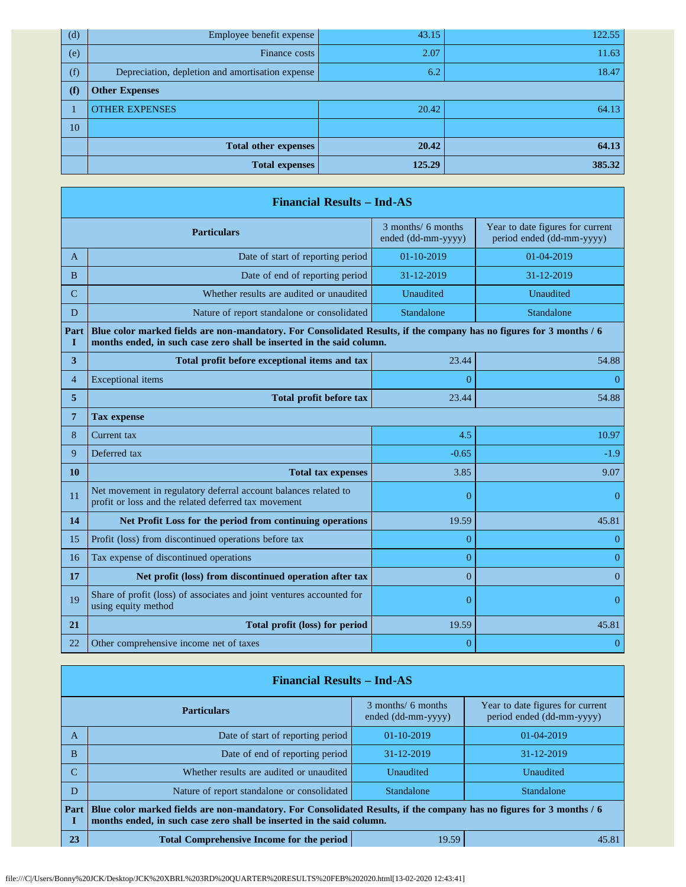| (d) | Employee benefit expense                         | 43.15  | 122.55 |
|-----|--------------------------------------------------|--------|--------|
| (e) | Finance costs                                    | 2.07   | 11.63  |
| (f) | Depreciation, depletion and amortisation expense | 6.2    | 18.47  |
| (f) | <b>Other Expenses</b>                            |        |        |
|     | <b>OTHER EXPENSES</b>                            | 20.42  | 64.13  |
| 10  |                                                  |        |        |
|     | <b>Total other expenses</b>                      | 20.42  | 64.13  |
|     | <b>Total expenses</b>                            | 125.29 | 385.32 |

|                | <b>Financial Results - Ind-AS</b>                                                                                                                                                             |                                          |                                                               |  |  |
|----------------|-----------------------------------------------------------------------------------------------------------------------------------------------------------------------------------------------|------------------------------------------|---------------------------------------------------------------|--|--|
|                | <b>Particulars</b>                                                                                                                                                                            | 3 months/ 6 months<br>ended (dd-mm-yyyy) | Year to date figures for current<br>period ended (dd-mm-yyyy) |  |  |
| A              | Date of start of reporting period                                                                                                                                                             | 01-10-2019                               | 01-04-2019                                                    |  |  |
| B              | Date of end of reporting period                                                                                                                                                               | 31-12-2019                               | 31-12-2019                                                    |  |  |
| C              | Whether results are audited or unaudited                                                                                                                                                      | Unaudited                                | Unaudited                                                     |  |  |
| D              | Nature of report standalone or consolidated                                                                                                                                                   | Standalone                               | Standalone                                                    |  |  |
| Part<br>I      | Blue color marked fields are non-mandatory. For Consolidated Results, if the company has no figures for 3 months / 6<br>months ended, in such case zero shall be inserted in the said column. |                                          |                                                               |  |  |
| 3              | Total profit before exceptional items and tax                                                                                                                                                 | 23.44                                    | 54.88                                                         |  |  |
| $\overline{4}$ | <b>Exceptional</b> items                                                                                                                                                                      | 0                                        | $\overline{0}$                                                |  |  |
| 5              | <b>Total profit before tax</b>                                                                                                                                                                | 23.44                                    | 54.88                                                         |  |  |
| 7              | <b>Tax expense</b>                                                                                                                                                                            |                                          |                                                               |  |  |
| 8              | Current tax                                                                                                                                                                                   | 4.5                                      | 10.97                                                         |  |  |
| 9              | Deferred tax                                                                                                                                                                                  | $-0.65$                                  | $-1.9$                                                        |  |  |
| 10             | <b>Total tax expenses</b>                                                                                                                                                                     | 3.85                                     | 9.07                                                          |  |  |
| 11             | Net movement in regulatory deferral account balances related to<br>profit or loss and the related deferred tax movement                                                                       | $\overline{0}$                           | $\overline{0}$                                                |  |  |
| 14             | Net Profit Loss for the period from continuing operations                                                                                                                                     | 19.59                                    | 45.81                                                         |  |  |
| 15             | Profit (loss) from discontinued operations before tax                                                                                                                                         | $\overline{0}$                           | $\overline{0}$                                                |  |  |
| 16             | Tax expense of discontinued operations                                                                                                                                                        | $\overline{0}$                           | $\overline{0}$                                                |  |  |
| 17             | Net profit (loss) from discontinued operation after tax                                                                                                                                       | $\overline{0}$                           | $\theta$                                                      |  |  |
| 19             | Share of profit (loss) of associates and joint ventures accounted for<br>using equity method                                                                                                  | $\overline{0}$                           | $\theta$                                                      |  |  |
| 21             | Total profit (loss) for period                                                                                                                                                                | 19.59                                    | 45.81                                                         |  |  |
| 22             | Other comprehensive income net of taxes                                                                                                                                                       | $\overline{0}$                           | $\bf{0}$                                                      |  |  |

|                                                                 | <b>Financial Results - Ind-AS</b>                                                                                                                                                             |                                          |                                                               |  |  |
|-----------------------------------------------------------------|-----------------------------------------------------------------------------------------------------------------------------------------------------------------------------------------------|------------------------------------------|---------------------------------------------------------------|--|--|
|                                                                 | <b>Particulars</b>                                                                                                                                                                            | 3 months/ 6 months<br>ended (dd-mm-yyyy) | Year to date figures for current<br>period ended (dd-mm-yyyy) |  |  |
| A                                                               | Date of start of reporting period                                                                                                                                                             | 01-10-2019                               | 01-04-2019                                                    |  |  |
| B                                                               | Date of end of reporting period                                                                                                                                                               | 31-12-2019                               | 31-12-2019                                                    |  |  |
|                                                                 | Whether results are audited or unaudited                                                                                                                                                      | Unaudited                                | Unaudited                                                     |  |  |
| D                                                               | Nature of report standalone or consolidated                                                                                                                                                   | Standalone                               | Standalone                                                    |  |  |
| Part                                                            | Blue color marked fields are non-mandatory. For Consolidated Results, if the company has no figures for 3 months / 6<br>months ended, in such case zero shall be inserted in the said column. |                                          |                                                               |  |  |
| 23<br><b>Total Comprehensive Income for the period</b><br>19.59 |                                                                                                                                                                                               |                                          | 45.81                                                         |  |  |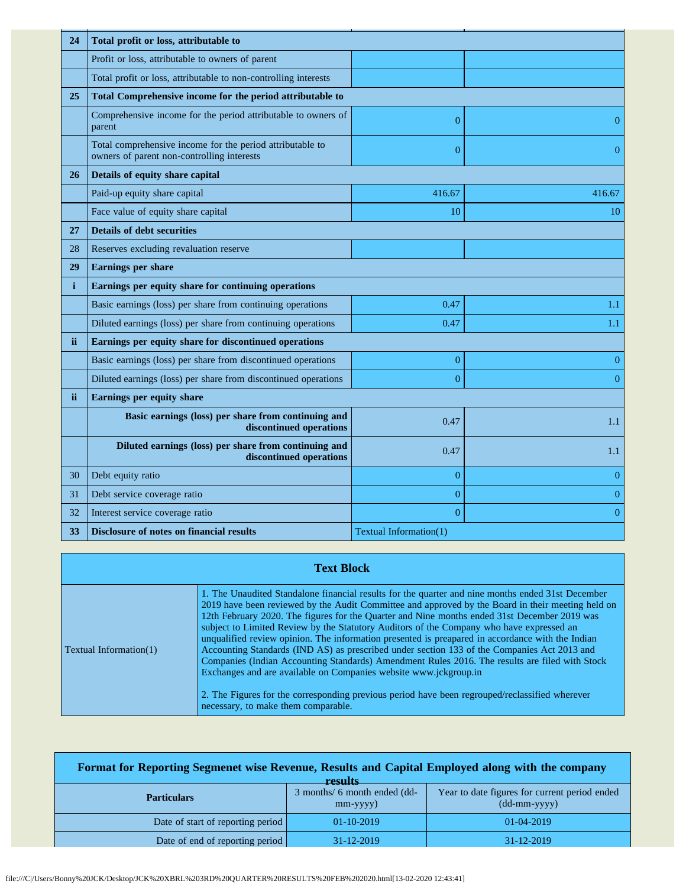| 24           | Total profit or loss, attributable to                                                                   |                        |                |
|--------------|---------------------------------------------------------------------------------------------------------|------------------------|----------------|
|              | Profit or loss, attributable to owners of parent                                                        |                        |                |
|              | Total profit or loss, attributable to non-controlling interests                                         |                        |                |
| 25           | Total Comprehensive income for the period attributable to                                               |                        |                |
|              | Comprehensive income for the period attributable to owners of<br>parent                                 | $\overline{0}$         | $\theta$       |
|              | Total comprehensive income for the period attributable to<br>owners of parent non-controlling interests | $\overline{0}$         | $\overline{0}$ |
| 26           | Details of equity share capital                                                                         |                        |                |
|              | Paid-up equity share capital                                                                            | 416.67                 | 416.67         |
|              | Face value of equity share capital                                                                      | 10                     | 10             |
| 27           | <b>Details of debt securities</b>                                                                       |                        |                |
| 28           | Reserves excluding revaluation reserve                                                                  |                        |                |
| 29           | <b>Earnings per share</b>                                                                               |                        |                |
| $\mathbf{i}$ | Earnings per equity share for continuing operations                                                     |                        |                |
|              | Basic earnings (loss) per share from continuing operations                                              | 0.47                   | 1.1            |
|              | Diluted earnings (loss) per share from continuing operations                                            | 0.47                   | 1.1            |
| ii.          | Earnings per equity share for discontinued operations                                                   |                        |                |
|              | Basic earnings (loss) per share from discontinued operations                                            | $\overline{0}$         | $\overline{0}$ |
|              | Diluted earnings (loss) per share from discontinued operations                                          | $\theta$               | $\Omega$       |
| ii.          | Earnings per equity share                                                                               |                        |                |
|              | Basic earnings (loss) per share from continuing and<br>discontinued operations                          | 0.47                   | 1.1            |
|              | Diluted earnings (loss) per share from continuing and<br>discontinued operations                        | 0.47                   | 1.1            |
| 30           | Debt equity ratio                                                                                       | $\overline{0}$         | $\overline{0}$ |
| 31           | Debt service coverage ratio                                                                             | $\overline{0}$         | $\overline{0}$ |
| 32           | Interest service coverage ratio                                                                         | $\overline{0}$         | $\overline{0}$ |
| 33           | <b>Disclosure of notes on financial results</b>                                                         | Textual Information(1) |                |

| <b>Text Block</b>             |                                                                                                                                                                                                                                                                                                                                                                                                                                                                                                                                                                                                                                                                                                                                                                                                                                                                                                                      |  |
|-------------------------------|----------------------------------------------------------------------------------------------------------------------------------------------------------------------------------------------------------------------------------------------------------------------------------------------------------------------------------------------------------------------------------------------------------------------------------------------------------------------------------------------------------------------------------------------------------------------------------------------------------------------------------------------------------------------------------------------------------------------------------------------------------------------------------------------------------------------------------------------------------------------------------------------------------------------|--|
| <b>Textual Information(1)</b> | 1. The Unaudited Standalone financial results for the quarter and nine months ended 31st December<br>2019 have been reviewed by the Audit Committee and approved by the Board in their meeting held on<br>12th February 2020. The figures for the Quarter and Nine months ended 31st December 2019 was<br>subject to Limited Review by the Statutory Auditors of the Company who have expressed an<br>unqualified review opinion. The information presented is preapared in accordance with the Indian<br>Accounting Standards (IND AS) as prescribed under section 133 of the Companies Act 2013 and<br>Companies (Indian Accounting Standards) Amendment Rules 2016. The results are filed with Stock<br>Exchanges and are available on Companies website www.jckgroup.in<br>2. The Figures for the corresponding previous period have been regrouped/reclassified wherever<br>necessary, to make them comparable. |  |

| Format for Reporting Segmenet wise Revenue, Results and Capital Employed along with the company<br>recults |                                                |                                                                 |  |
|------------------------------------------------------------------------------------------------------------|------------------------------------------------|-----------------------------------------------------------------|--|
| <b>Particulars</b>                                                                                         | 3 months/ 6 month ended (dd-<br>$mm$ -yyyy $)$ | Year to date figures for current period ended<br>$(dd-mm-yyyy)$ |  |
| Date of start of reporting period                                                                          | $01-10-2019$                                   | $01-04-2019$                                                    |  |
| Date of end of reporting period                                                                            | 31-12-2019                                     | $31 - 12 - 2019$                                                |  |